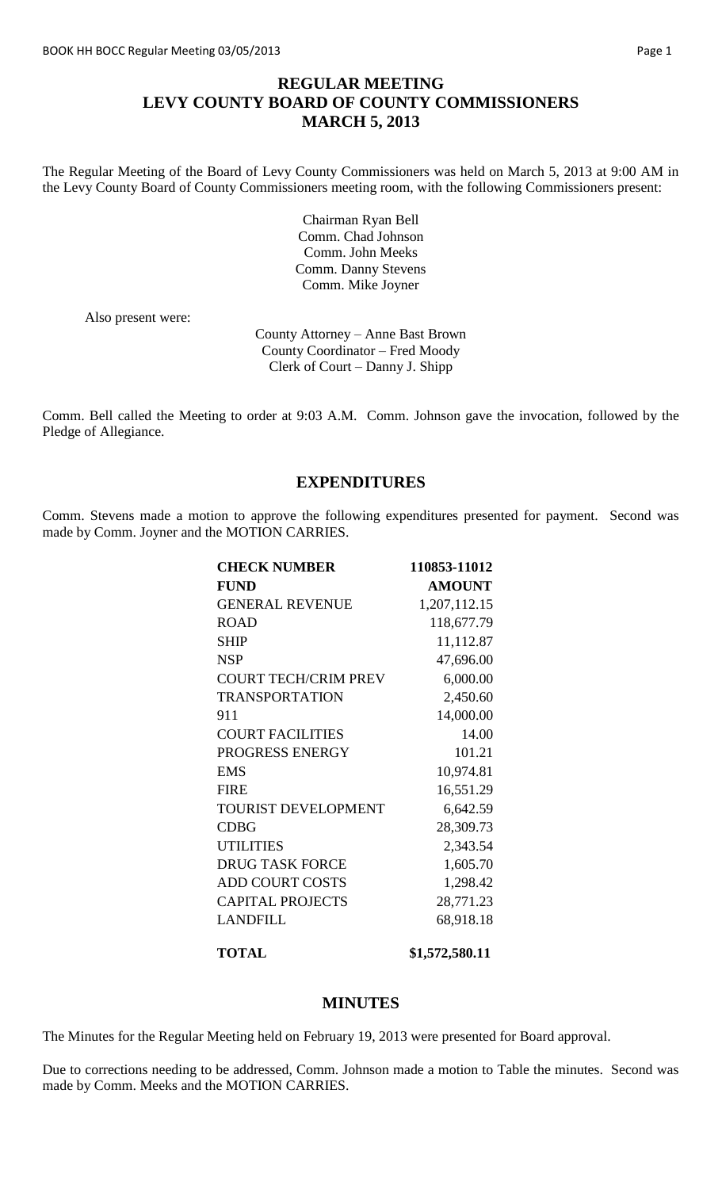# **REGULAR MEETING LEVY COUNTY BOARD OF COUNTY COMMISSIONERS MARCH 5, 2013**

The Regular Meeting of the Board of Levy County Commissioners was held on March 5, 2013 at 9:00 AM in the Levy County Board of County Commissioners meeting room, with the following Commissioners present:

> Chairman Ryan Bell Comm. Chad Johnson Comm. John Meeks Comm. Danny Stevens Comm. Mike Joyner

Also present were:

County Attorney – Anne Bast Brown County Coordinator – Fred Moody Clerk of Court – Danny J. Shipp

Comm. Bell called the Meeting to order at 9:03 A.M. Comm. Johnson gave the invocation, followed by the Pledge of Allegiance.

### **EXPENDITURES**

Comm. Stevens made a motion to approve the following expenditures presented for payment. Second was made by Comm. Joyner and the MOTION CARRIES.

| <b>CHECK NUMBER</b>         | 110853-11012  |
|-----------------------------|---------------|
| <b>FUND</b>                 | <b>AMOUNT</b> |
| <b>GENERAL REVENUE</b>      | 1,207,112.15  |
| <b>ROAD</b>                 | 118,677.79    |
| <b>SHIP</b>                 | 11,112.87     |
| <b>NSP</b>                  | 47,696.00     |
| <b>COURT TECH/CRIM PREV</b> | 6,000.00      |
| <b>TRANSPORTATION</b>       | 2,450.60      |
| 911                         | 14,000.00     |
| <b>COURT FACILITIES</b>     | 14.00         |
| PROGRESS ENERGY             | 101.21        |
| <b>EMS</b>                  | 10,974.81     |
| <b>FIRE</b>                 | 16,551.29     |
| <b>TOURIST DEVELOPMENT</b>  | 6,642.59      |
| <b>CDBG</b>                 | 28,309.73     |
| <b>UTILITIES</b>            | 2,343.54      |
| <b>DRUG TASK FORCE</b>      | 1,605.70      |
| <b>ADD COURT COSTS</b>      | 1,298.42      |
| <b>CAPITAL PROJECTS</b>     | 28,771.23     |
| LANDFILL                    | 68,918.18     |
|                             |               |

**TOTAL \$1,572,580.11** 

#### **MINUTES**

The Minutes for the Regular Meeting held on February 19, 2013 were presented for Board approval.

Due to corrections needing to be addressed, Comm. Johnson made a motion to Table the minutes. Second was made by Comm. Meeks and the MOTION CARRIES.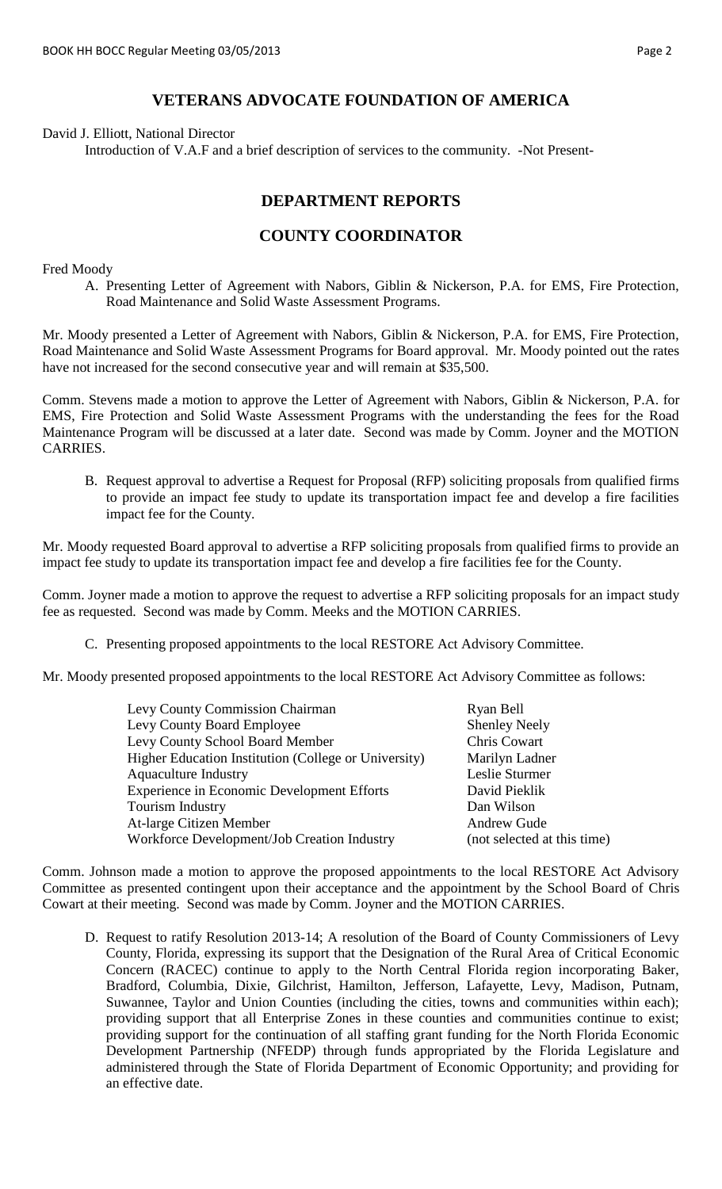### **VETERANS ADVOCATE FOUNDATION OF AMERICA**

David J. Elliott, National Director

Introduction of V.A.F and a brief description of services to the community. -Not Present-

### **DEPARTMENT REPORTS**

### **COUNTY COORDINATOR**

Fred Moody

A. Presenting Letter of Agreement with Nabors, Giblin & Nickerson, P.A. for EMS, Fire Protection, Road Maintenance and Solid Waste Assessment Programs.

Mr. Moody presented a Letter of Agreement with Nabors, Giblin & Nickerson, P.A. for EMS, Fire Protection, Road Maintenance and Solid Waste Assessment Programs for Board approval. Mr. Moody pointed out the rates have not increased for the second consecutive year and will remain at \$35,500.

Comm. Stevens made a motion to approve the Letter of Agreement with Nabors, Giblin & Nickerson, P.A. for EMS, Fire Protection and Solid Waste Assessment Programs with the understanding the fees for the Road Maintenance Program will be discussed at a later date. Second was made by Comm. Joyner and the MOTION CARRIES.

B. Request approval to advertise a Request for Proposal (RFP) soliciting proposals from qualified firms to provide an impact fee study to update its transportation impact fee and develop a fire facilities impact fee for the County.

Mr. Moody requested Board approval to advertise a RFP soliciting proposals from qualified firms to provide an impact fee study to update its transportation impact fee and develop a fire facilities fee for the County.

Comm. Joyner made a motion to approve the request to advertise a RFP soliciting proposals for an impact study fee as requested. Second was made by Comm. Meeks and the MOTION CARRIES.

C. Presenting proposed appointments to the local RESTORE Act Advisory Committee.

Mr. Moody presented proposed appointments to the local RESTORE Act Advisory Committee as follows:

| <b>Levy County Commission Chairman</b>               | Ryan Bell                   |
|------------------------------------------------------|-----------------------------|
| Levy County Board Employee                           | <b>Shenley Neely</b>        |
| Levy County School Board Member                      | Chris Cowart                |
| Higher Education Institution (College or University) | Marilyn Ladner              |
| <b>Aquaculture Industry</b>                          | Leslie Sturmer              |
| <b>Experience in Economic Development Efforts</b>    | David Pieklik               |
| Tourism Industry                                     | Dan Wilson                  |
| At-large Citizen Member                              | <b>Andrew Gude</b>          |
| Workforce Development/Job Creation Industry          | (not selected at this time) |
|                                                      |                             |

Comm. Johnson made a motion to approve the proposed appointments to the local RESTORE Act Advisory Committee as presented contingent upon their acceptance and the appointment by the School Board of Chris Cowart at their meeting. Second was made by Comm. Joyner and the MOTION CARRIES.

D. Request to ratify Resolution 2013-14; A resolution of the Board of County Commissioners of Levy County, Florida, expressing its support that the Designation of the Rural Area of Critical Economic Concern (RACEC) continue to apply to the North Central Florida region incorporating Baker, Bradford, Columbia, Dixie, Gilchrist, Hamilton, Jefferson, Lafayette, Levy, Madison, Putnam, Suwannee, Taylor and Union Counties (including the cities, towns and communities within each); providing support that all Enterprise Zones in these counties and communities continue to exist; providing support for the continuation of all staffing grant funding for the North Florida Economic Development Partnership (NFEDP) through funds appropriated by the Florida Legislature and administered through the State of Florida Department of Economic Opportunity; and providing for an effective date.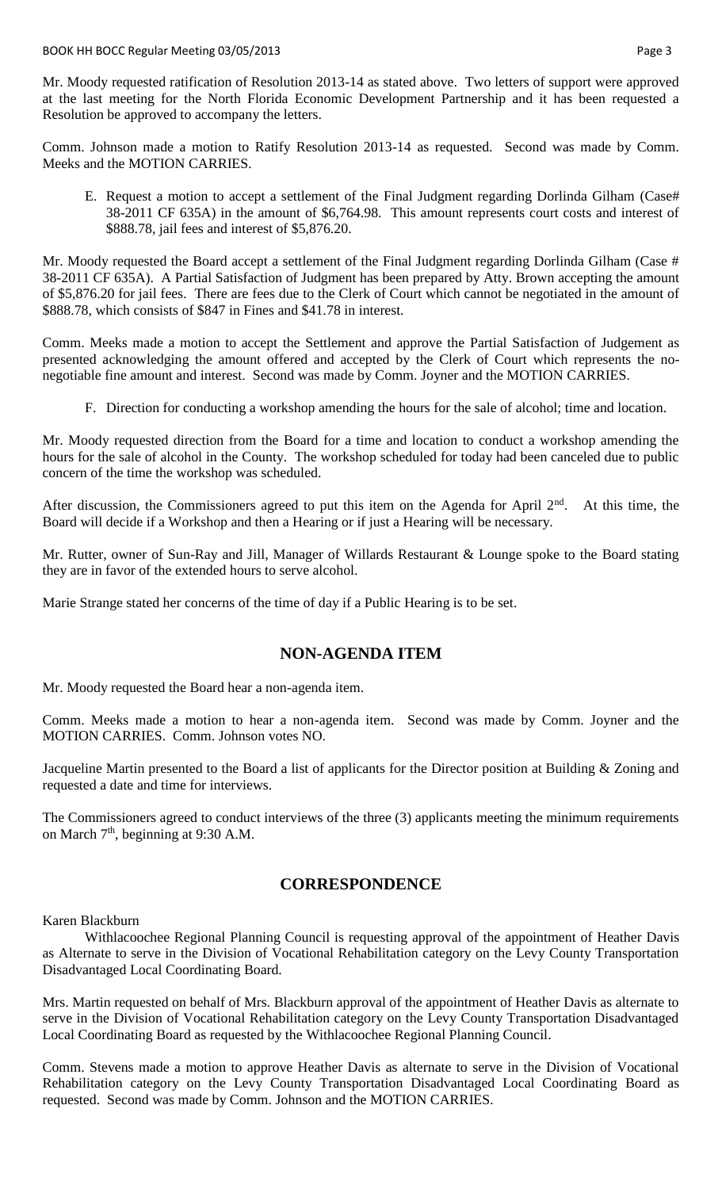Mr. Moody requested ratification of Resolution 2013-14 as stated above. Two letters of support were approved at the last meeting for the North Florida Economic Development Partnership and it has been requested a Resolution be approved to accompany the letters.

Comm. Johnson made a motion to Ratify Resolution 2013-14 as requested. Second was made by Comm. Meeks and the MOTION CARRIES.

E. Request a motion to accept a settlement of the Final Judgment regarding Dorlinda Gilham (Case# 38-2011 CF 635A) in the amount of \$6,764.98. This amount represents court costs and interest of \$888.78, jail fees and interest of \$5,876.20.

Mr. Moody requested the Board accept a settlement of the Final Judgment regarding Dorlinda Gilham (Case # 38-2011 CF 635A). A Partial Satisfaction of Judgment has been prepared by Atty. Brown accepting the amount of \$5,876.20 for jail fees. There are fees due to the Clerk of Court which cannot be negotiated in the amount of \$888.78, which consists of \$847 in Fines and \$41.78 in interest.

Comm. Meeks made a motion to accept the Settlement and approve the Partial Satisfaction of Judgement as presented acknowledging the amount offered and accepted by the Clerk of Court which represents the nonegotiable fine amount and interest. Second was made by Comm. Joyner and the MOTION CARRIES.

F. Direction for conducting a workshop amending the hours for the sale of alcohol; time and location.

Mr. Moody requested direction from the Board for a time and location to conduct a workshop amending the hours for the sale of alcohol in the County. The workshop scheduled for today had been canceled due to public concern of the time the workshop was scheduled.

After discussion, the Commissioners agreed to put this item on the Agenda for April  $2<sup>nd</sup>$ . At this time, the Board will decide if a Workshop and then a Hearing or if just a Hearing will be necessary.

Mr. Rutter, owner of Sun-Ray and Jill, Manager of Willards Restaurant & Lounge spoke to the Board stating they are in favor of the extended hours to serve alcohol.

Marie Strange stated her concerns of the time of day if a Public Hearing is to be set.

# **NON-AGENDA ITEM**

Mr. Moody requested the Board hear a non-agenda item.

Comm. Meeks made a motion to hear a non-agenda item. Second was made by Comm. Joyner and the MOTION CARRIES. Comm. Johnson votes NO.

Jacqueline Martin presented to the Board a list of applicants for the Director position at Building & Zoning and requested a date and time for interviews.

The Commissioners agreed to conduct interviews of the three (3) applicants meeting the minimum requirements on March  $7<sup>th</sup>$ , beginning at 9:30 A.M.

# **CORRESPONDENCE**

Karen Blackburn

Withlacoochee Regional Planning Council is requesting approval of the appointment of Heather Davis as Alternate to serve in the Division of Vocational Rehabilitation category on the Levy County Transportation Disadvantaged Local Coordinating Board.

Mrs. Martin requested on behalf of Mrs. Blackburn approval of the appointment of Heather Davis as alternate to serve in the Division of Vocational Rehabilitation category on the Levy County Transportation Disadvantaged Local Coordinating Board as requested by the Withlacoochee Regional Planning Council.

Comm. Stevens made a motion to approve Heather Davis as alternate to serve in the Division of Vocational Rehabilitation category on the Levy County Transportation Disadvantaged Local Coordinating Board as requested. Second was made by Comm. Johnson and the MOTION CARRIES.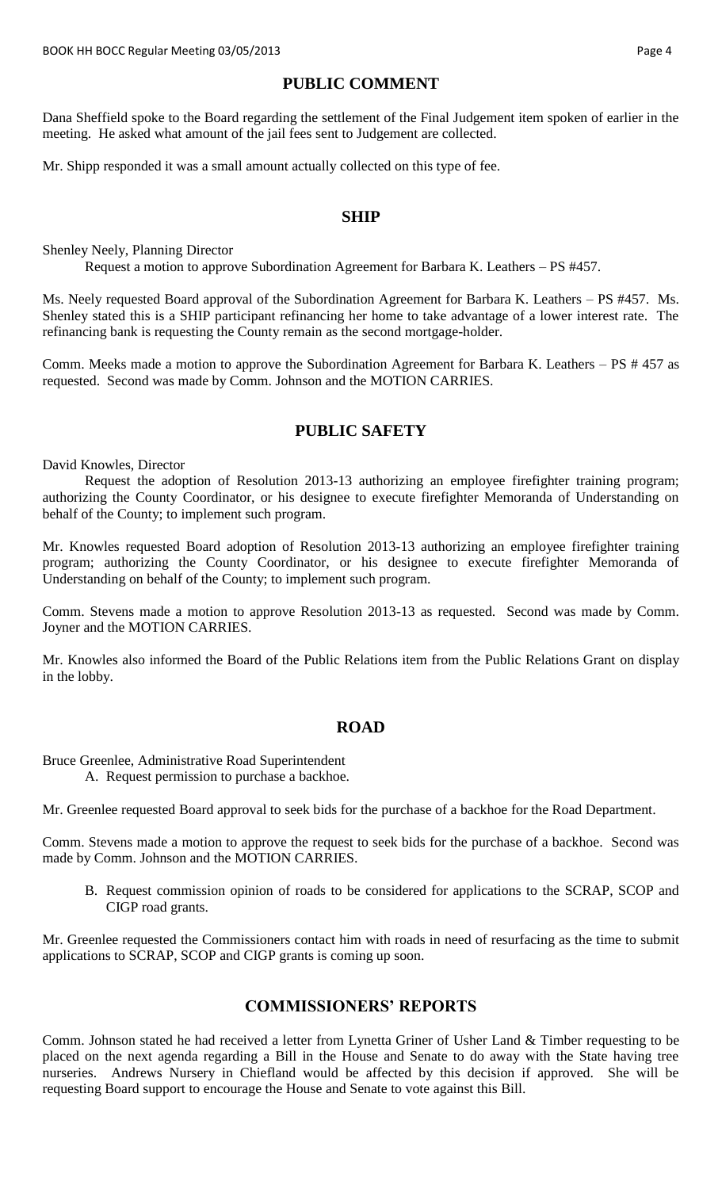### **PUBLIC COMMENT**

Dana Sheffield spoke to the Board regarding the settlement of the Final Judgement item spoken of earlier in the meeting. He asked what amount of the jail fees sent to Judgement are collected.

Mr. Shipp responded it was a small amount actually collected on this type of fee.

### **SHIP**

Shenley Neely, Planning Director Request a motion to approve Subordination Agreement for Barbara K. Leathers – PS #457.

Ms. Neely requested Board approval of the Subordination Agreement for Barbara K. Leathers – PS #457. Ms. Shenley stated this is a SHIP participant refinancing her home to take advantage of a lower interest rate. The refinancing bank is requesting the County remain as the second mortgage-holder.

Comm. Meeks made a motion to approve the Subordination Agreement for Barbara K. Leathers – PS # 457 as requested. Second was made by Comm. Johnson and the MOTION CARRIES.

### **PUBLIC SAFETY**

David Knowles, Director

Request the adoption of Resolution 2013-13 authorizing an employee firefighter training program; authorizing the County Coordinator, or his designee to execute firefighter Memoranda of Understanding on behalf of the County; to implement such program.

Mr. Knowles requested Board adoption of Resolution 2013-13 authorizing an employee firefighter training program; authorizing the County Coordinator, or his designee to execute firefighter Memoranda of Understanding on behalf of the County; to implement such program.

Comm. Stevens made a motion to approve Resolution 2013-13 as requested. Second was made by Comm. Joyner and the MOTION CARRIES.

Mr. Knowles also informed the Board of the Public Relations item from the Public Relations Grant on display in the lobby.

### **ROAD**

Bruce Greenlee, Administrative Road Superintendent

A. Request permission to purchase a backhoe.

Mr. Greenlee requested Board approval to seek bids for the purchase of a backhoe for the Road Department.

Comm. Stevens made a motion to approve the request to seek bids for the purchase of a backhoe. Second was made by Comm. Johnson and the MOTION CARRIES.

B. Request commission opinion of roads to be considered for applications to the SCRAP, SCOP and CIGP road grants.

Mr. Greenlee requested the Commissioners contact him with roads in need of resurfacing as the time to submit applications to SCRAP, SCOP and CIGP grants is coming up soon.

# **COMMISSIONERS' REPORTS**

Comm. Johnson stated he had received a letter from Lynetta Griner of Usher Land & Timber requesting to be placed on the next agenda regarding a Bill in the House and Senate to do away with the State having tree nurseries. Andrews Nursery in Chiefland would be affected by this decision if approved. She will be requesting Board support to encourage the House and Senate to vote against this Bill.